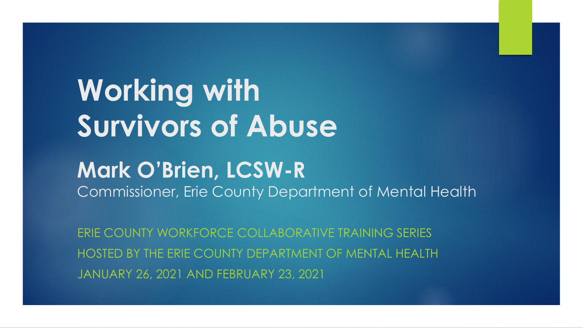# **Working with Survivors of Abuse**

#### **Mark O'Brien, LCSW-R**

Commissioner, Erie County Department of Mental Health

ERIE COUNTY WORKFORCE COLLABORATIVE TRAINING SERIES HOSTED BY THE ERIE COUNTY DEPARTMENT OF MENTAL HEALTH JANUARY 26, 2021 AND FEBRUARY 23, 2021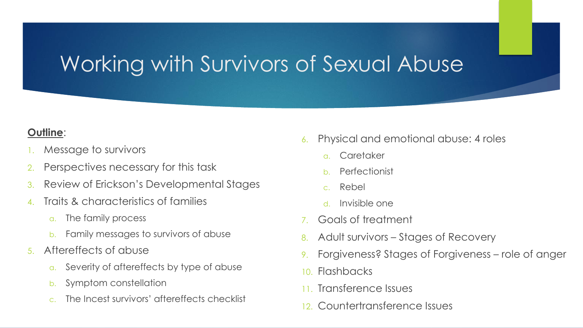#### Working with Survivors of Sexual Abuse

#### **Outline**:

- Message to survivors
- Perspectives necessary for this task
- 3. Review of Erickson's Developmental Stages
- 4. Traits & characteristics of families
	- a. The family process
	- b. Family messages to survivors of abuse
- 5. Aftereffects of abuse
	- a. Severity of aftereffects by type of abuse
	- b. Symptom constellation
	- c. The Incest survivors' aftereffects checklist
- 6. Physical and emotional abuse: 4 roles
	- a. Caretaker
	- **Perfectionist**
	- c. Rebel
	- d. Invisible one
- 7. Goals of treatment
- 8. Adult survivors Stages of Recovery
- 9. Forgiveness? Stages of Forgiveness role of anger
- 10. Flashbacks
- 11. Transference Issues
- 12. Countertransference Issues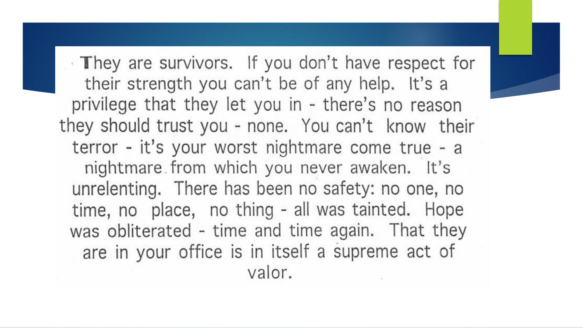They are survivors. If you don't have respect for their strength you can't be of any help. It's a privilege that they let you in - there's no reason they should trust you - none. You can't know their terror - it's your worst nightmare come true - a nightmare from which you never awaken. It's unrelenting. There has been no safety: no one, no time, no place, no thing - all was tainted. Hope was obliterated - time and time again. That they are in your office is in itself a supreme act of valor.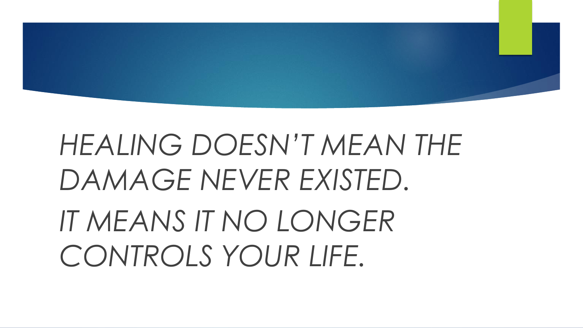

# *HEALING DOESN'T MEAN THE DAMAGE NEVER EXISTED. IT MEANS IT NO LONGER CONTROLS YOUR LIFE.*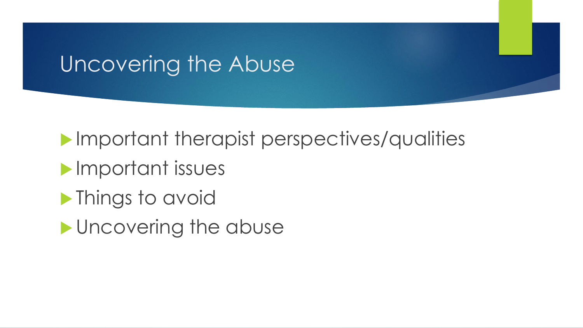#### Uncovering the Abuse

**Important therapist perspectives/qualities** 

- **Important issues**
- **Things to avoid**
- **I** Uncovering the abuse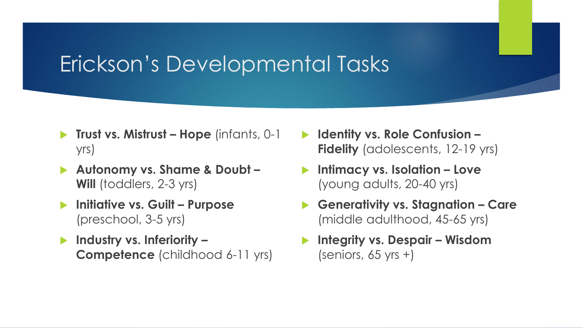#### Erickson's Developmental Tasks

- **Trust vs. Mistrust – Hope** (infants, 0-1 yrs)
- **Autonomy vs. Shame & Doubt – Will** (toddlers, 2-3 yrs)
- **Initiative vs. Guilt Purpose** (preschool, 3-5 yrs)
- **Industry vs. Inferiority – Competence** (childhood 6-11 yrs)
- **Identity vs. Role Confusion – Fidelity** (adolescents, 12-19 yrs)
- **Intimacy vs. Isolation – Love**  (young adults, 20-40 yrs)
- **Generativity vs. Stagnation – Care**  (middle adulthood, 45-65 yrs)
- **Integrity vs. Despair Wisdom** (seniors,  $65$  yrs +)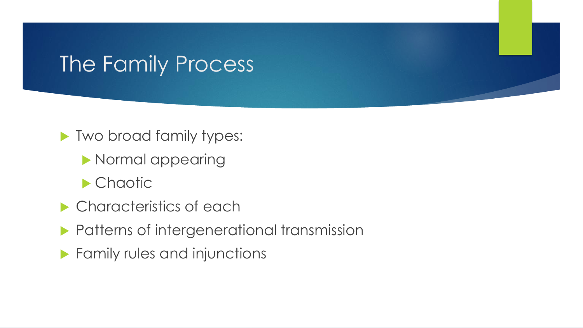#### The Family Process

- **Two broad family types:** 
	- **Normal appearing**
	- **Chaotic**
- **Characteristics of each**
- **Patterns of intergenerational transmission**
- **Family rules and injunctions**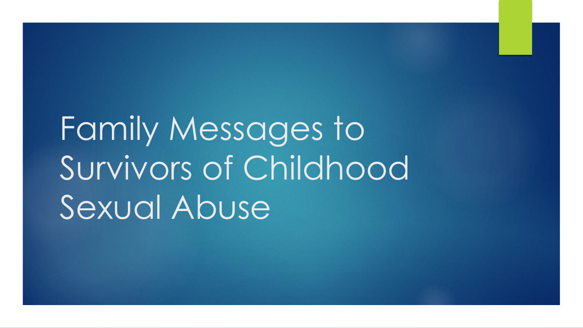Family Messages to Survivors of Childhood Sexual Abuse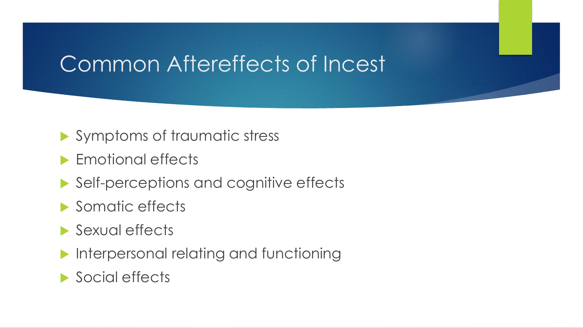#### Common Aftereffects of Incest

- Symptoms of traumatic stress
- **Emotional effects**
- ▶ Self-perceptions and cognitive effects
- Somatic effects
- Sexual effects
- **Interpersonal relating and functioning**

▶ Social effects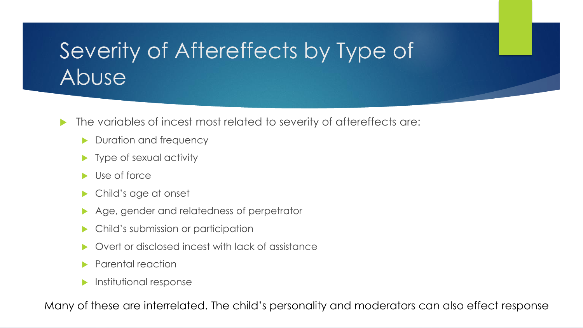# Severity of Aftereffects by Type of Abuse

- $\blacktriangleright$  The variables of incest most related to severity of aftereffects are:
	- Duration and frequency
	- **Type of sexual activity**
	- Use of force
	- Child's age at onset
	- Age, gender and relatedness of perpetrator
	- Child's submission or participation
	- Overt or disclosed incest with lack of assistance
	- Parental reaction
	- $\blacktriangleright$  Institutional response

Many of these are interrelated. The child's personality and moderators can also effect response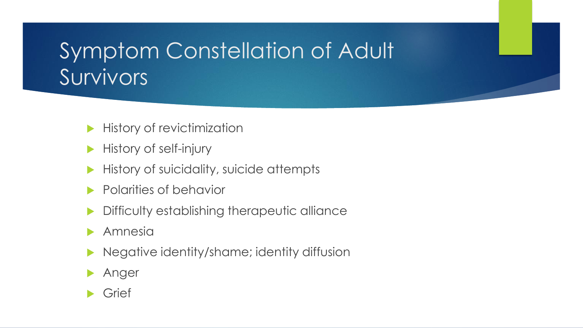# Symptom Constellation of Adult Survivors

- History of revictimization
- History of self-injury
- History of suicidality, suicide attempts
- Polarities of behavior
- Difficulty establishing therapeutic alliance
- Amnesia
- Negative identity/shame; identity diffusion
- Anger
- Grief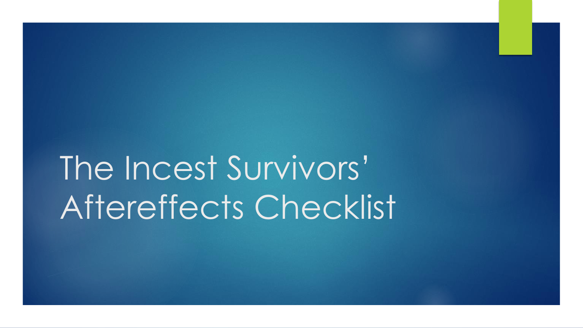The Incest Survivors' Aftereffects Checklist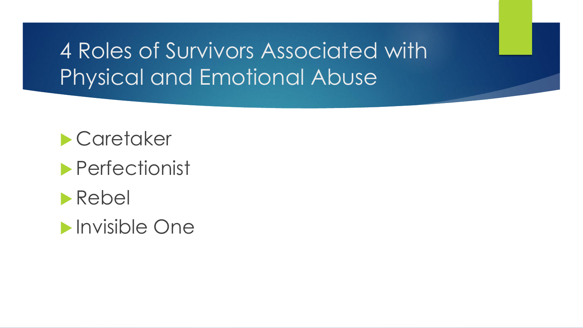# 4 Roles of Survivors Associated with Physical and Emotional Abuse

#### **Caretaker**

#### Perfectionist



#### **Invisible One**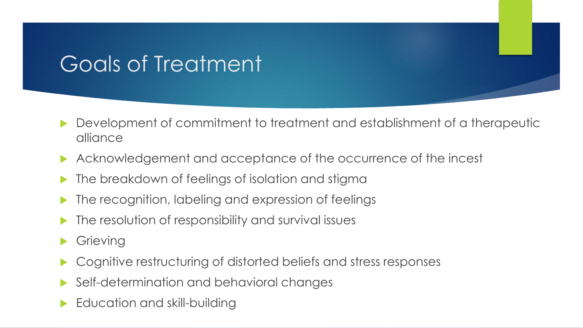# Goals of Treatment

- Development of commitment to treatment and establishment of a therapeutic alliance
- Acknowledgement and acceptance of the occurrence of the incest
- The breakdown of feelings of isolation and stigma
- **The recognition, labeling and expression of feelings**
- The resolution of responsibility and survival issues
- **Grieving**
- Cognitive restructuring of distorted beliefs and stress responses
- Self-determination and behavioral changes
- Education and skill-building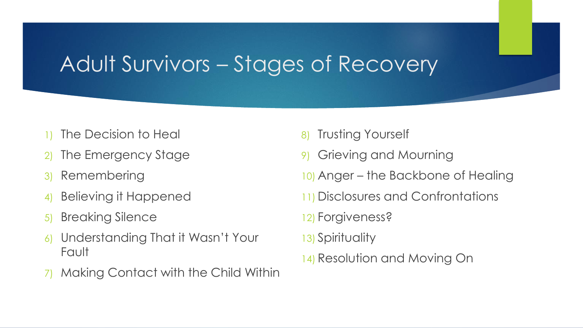## Adult Survivors – Stages of Recovery

- The Decision to Heal
- 2) The Emergency Stage
- 3) Remembering
- 4) Believing it Happened
- 5) Breaking Silence
- 6) Understanding That it Wasn't Your Fault
- 7) Making Contact with the Child Within
- 8) Trusting Yourself
- 9) Grieving and Mourning
- 10) Anger the Backbone of Healing
- 11) Disclosures and Confrontations
- 12) Forgiveness?
- 13) Spirituality
- 14) Resolution and Moving On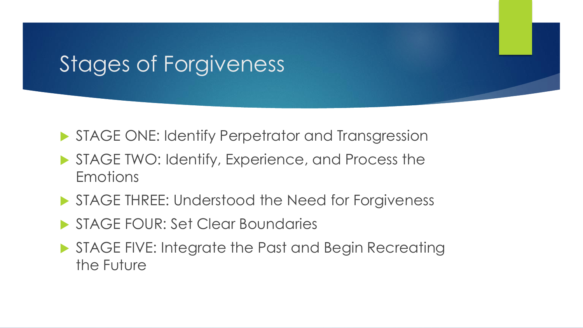### Stages of Forgiveness

- **STAGE ONE: Identify Perpetrator and Transgression**
- STAGE TWO: Identify, Experience, and Process the **Emotions**
- STAGE THREE: Understood the Need for Forgiveness
- STAGE FOUR: Set Clear Boundaries
- STAGE FIVE: Integrate the Past and Begin Recreating the Future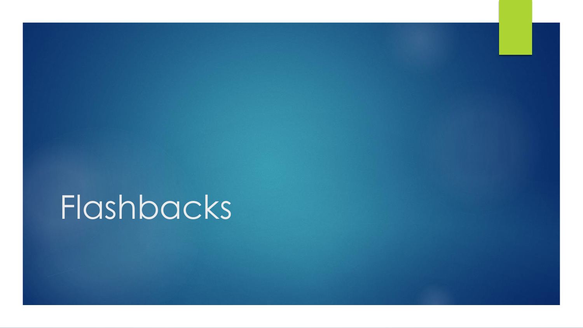Flashbacks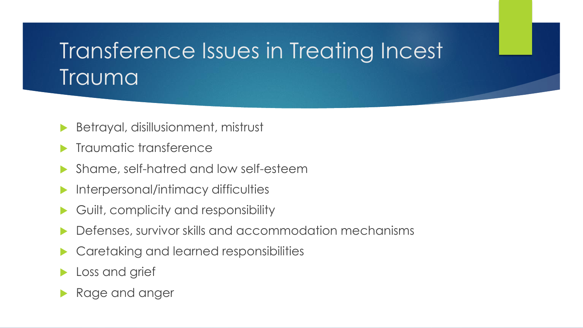# Transference Issues in Treating Incest Trauma

- Betrayal, disillusionment, mistrust
- Traumatic transference
- Shame, self-hatred and low self-esteem
- Interpersonal/intimacy difficulties
- Guilt, complicity and responsibility
- Defenses, survivor skills and accommodation mechanisms
- Caretaking and learned responsibilities
- **Loss and grief**
- Rage and anger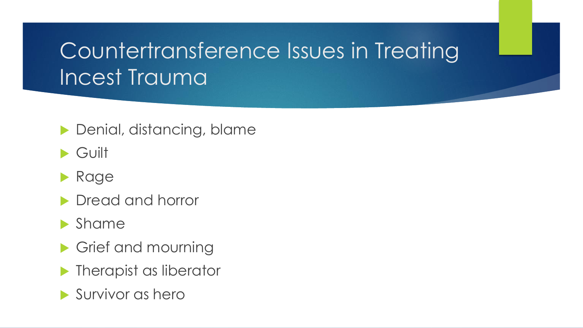# Countertransference Issues in Treating Incest Trauma

**Denial, distancing, blame** 

- Guilt
- **Rage**
- **Dread and horror**
- **Shame**
- Grief and mourning
- **Therapist as liberator**
- Survivor as hero